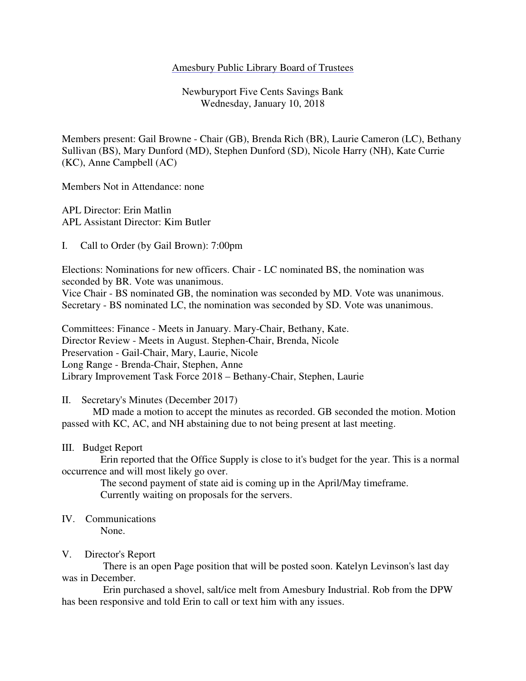#### Amesbury Public Library Board of Trustees

Newburyport Five Cents Savings Bank Wednesday, January 10, 2018

Members present: Gail Browne - Chair (GB), Brenda Rich (BR), Laurie Cameron (LC), Bethany Sullivan (BS), Mary Dunford (MD), Stephen Dunford (SD), Nicole Harry (NH), Kate Currie (KC), Anne Campbell (AC)

Members Not in Attendance: none

APL Director: Erin Matlin APL Assistant Director: Kim Butler

I. Call to Order (by Gail Brown): 7:00pm

Elections: Nominations for new officers. Chair - LC nominated BS, the nomination was seconded by BR. Vote was unanimous. Vice Chair - BS nominated GB, the nomination was seconded by MD. Vote was unanimous. Secretary - BS nominated LC, the nomination was seconded by SD. Vote was unanimous.

Committees: Finance - Meets in January. Mary-Chair, Bethany, Kate. Director Review - Meets in August. Stephen-Chair, Brenda, Nicole Preservation - Gail-Chair, Mary, Laurie, Nicole Long Range - Brenda-Chair, Stephen, Anne Library Improvement Task Force 2018 – Bethany-Chair, Stephen, Laurie

II. Secretary's Minutes (December 2017)

 MD made a motion to accept the minutes as recorded. GB seconded the motion. Motion passed with KC, AC, and NH abstaining due to not being present at last meeting.

#### III. Budget Report

 Erin reported that the Office Supply is close to it's budget for the year. This is a normal occurrence and will most likely go over.

 The second payment of state aid is coming up in the April/May timeframe. Currently waiting on proposals for the servers.

# IV. Communications

None.

## V. Director's Report

 There is an open Page position that will be posted soon. Katelyn Levinson's last day was in December.

 Erin purchased a shovel, salt/ice melt from Amesbury Industrial. Rob from the DPW has been responsive and told Erin to call or text him with any issues.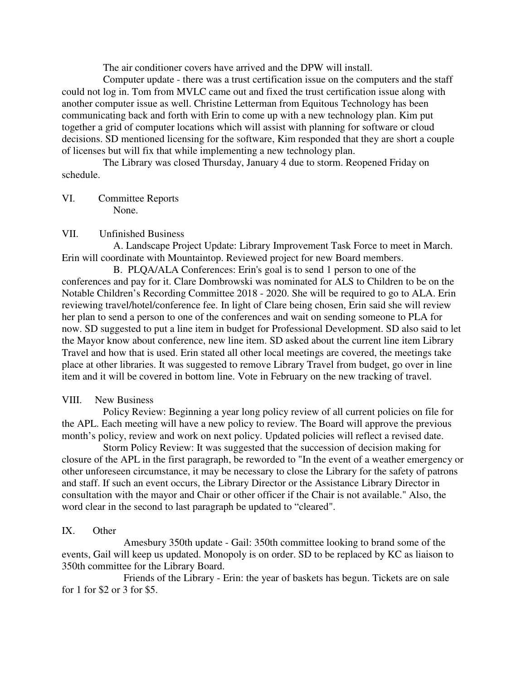The air conditioner covers have arrived and the DPW will install.

 Computer update - there was a trust certification issue on the computers and the staff could not log in. Tom from MVLC came out and fixed the trust certification issue along with another computer issue as well. Christine Letterman from Equitous Technology has been communicating back and forth with Erin to come up with a new technology plan. Kim put together a grid of computer locations which will assist with planning for software or cloud decisions. SD mentioned licensing for the software, Kim responded that they are short a couple of licenses but will fix that while implementing a new technology plan.

 The Library was closed Thursday, January 4 due to storm. Reopened Friday on schedule.

VI. Committee Reports None.

## VII. Unfinished Business

 A. Landscape Project Update: Library Improvement Task Force to meet in March. Erin will coordinate with Mountaintop. Reviewed project for new Board members.

 B. PLQA/ALA Conferences: Erin's goal is to send 1 person to one of the conferences and pay for it. Clare Dombrowski was nominated for ALS to Children to be on the Notable Children's Recording Committee 2018 - 2020. She will be required to go to ALA. Erin reviewing travel/hotel/conference fee. In light of Clare being chosen, Erin said she will review her plan to send a person to one of the conferences and wait on sending someone to PLA for now. SD suggested to put a line item in budget for Professional Development. SD also said to let the Mayor know about conference, new line item. SD asked about the current line item Library Travel and how that is used. Erin stated all other local meetings are covered, the meetings take place at other libraries. It was suggested to remove Library Travel from budget, go over in line item and it will be covered in bottom line. Vote in February on the new tracking of travel.

## VIII. New Business

 Policy Review: Beginning a year long policy review of all current policies on file for the APL. Each meeting will have a new policy to review. The Board will approve the previous month's policy, review and work on next policy. Updated policies will reflect a revised date.

 Storm Policy Review: It was suggested that the succession of decision making for closure of the APL in the first paragraph, be reworded to "In the event of a weather emergency or other unforeseen circumstance, it may be necessary to close the Library for the safety of patrons and staff. If such an event occurs, the Library Director or the Assistance Library Director in consultation with the mayor and Chair or other officer if the Chair is not available." Also, the word clear in the second to last paragraph be updated to "cleared".

## IX. Other

 Amesbury 350th update - Gail: 350th committee looking to brand some of the events, Gail will keep us updated. Monopoly is on order. SD to be replaced by KC as liaison to 350th committee for the Library Board.

 Friends of the Library - Erin: the year of baskets has begun. Tickets are on sale for 1 for \$2 or 3 for \$5.